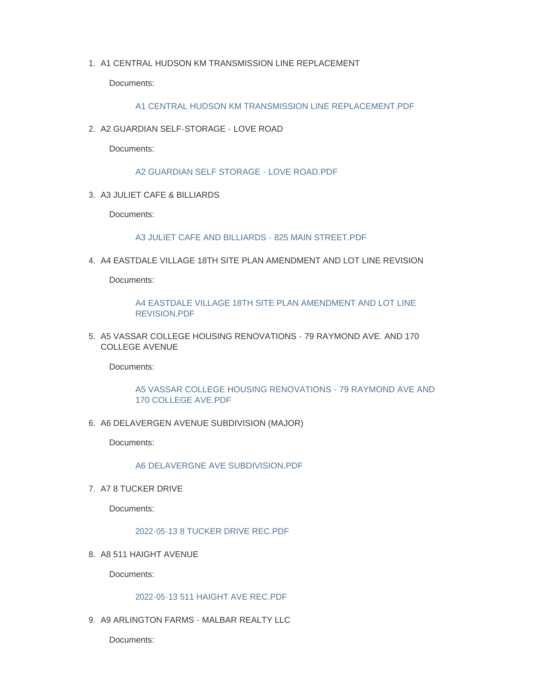1. A1 CENTRAL HUDSON KM TRANSMISSION LINE REPLACEMENT

Documents:

## [A1 CENTRAL HUDSON KM TRANSMISSION LINE REPLACEMENT.PDF](https://www.townofpoughkeepsie.com/AgendaCenter/ViewFile/Item/454?fileID=707)

A2 GUARDIAN SELF-STORAGE - LOVE ROAD 2.

Documents:

[A2 GUARDIAN SELF STORAGE - LOVE ROAD.PDF](https://www.townofpoughkeepsie.com/AgendaCenter/ViewFile/Item/455?fileID=708)

A3 JULIET CAFE & BILLIARDS 3.

Documents:

[A3 JULIET CAFE AND BILLIARDS - 825 MAIN STREET.PDF](https://www.townofpoughkeepsie.com/AgendaCenter/ViewFile/Item/456?fileID=709)

A4 EASTDALE VILLAGE 18TH SITE PLAN AMENDMENT AND LOT LINE REVISION 4.

Documents:

[A4 EASTDALE VILLAGE 18TH SITE PLAN AMENDMENT AND LOT LINE](https://www.townofpoughkeepsie.com/AgendaCenter/ViewFile/Item/457?fileID=710)  REVISION.PDF

5. A5 VASSAR COLLEGE HOUSING RENOVATIONS - 79 RAYMOND AVE. AND 170 COLLEGE AVENUE

Documents:

# [A5 VASSAR COLLEGE HOUSING RENOVATIONS - 79 RAYMOND AVE AND](https://www.townofpoughkeepsie.com/AgendaCenter/ViewFile/Item/469?fileID=722)  170 COLLEGE AVE.PDF

6. A6 DELAVERGEN AVENUE SUBDIVISION (MAJOR)

Documents:

[A6 DELAVERGNE AVE SUBDIVISION.PDF](https://www.townofpoughkeepsie.com/AgendaCenter/ViewFile/Item/459?fileID=712)

7. A7 8 TUCKER DRIVE

Documents:

[2022-05-13 8 TUCKER DRIVE REC.PDF](https://www.townofpoughkeepsie.com/AgendaCenter/ViewFile/Item/460?fileID=713)

8. A8 511 HAIGHT AVENUE

Documents:

# [2022-05-13 511 HAIGHT AVE REC.PDF](https://www.townofpoughkeepsie.com/AgendaCenter/ViewFile/Item/461?fileID=714)

9. A9 ARLINGTON FARMS - MALBAR REALTY LLC

Documents: